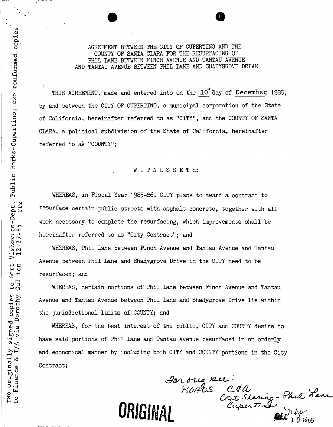8 AGREEMENT BETWEEN THE CITY OF CUPERTINO AND THE COUNTY OF SANTA CLARA FOR THE RESURFACING OF PHIL LANE BETWEEN FINCH AVENUE AND TANTAU AVENUE AND TANTAU AVENUE BETWEEN PHIL LANE AND SHADYGROVE DRIVE

THIS AGREEMENT, made and entered into on the  $10^{44}$ day of December, 1985, by and between the CITY OF CUPERTINO, a municipal corporation of the State of California, hereinafter referred to as "CITY", and the COUNTY OF SANTA CLARA, a political subdivision of the State of California, hereinafter  $\tilde{P}_{\rm c}$ referred to as "COUNTY";

# WITNESSETH:

WHEREAS, in Fiscal Year 1985-86, CITY plans to award a contract to resurface certain public streets with asphalt concrete, together with all work necessary to complete the resurfacing, which improvements shall be hereinafter referred to as "City Contract"; and

WHEREAS, Phil Lane between Finch Avenue and Tantau Avenue and Tantau Avenue between Phil Lane and Shadygrove Drive in the CITY need to be resurfaced; and

WHEREAS, certain portions of Phil Lane between Finch Avenue and Tantau Avenue and Tantau Avenue between Phil Lane and Shadygrove Drive lie within the jurisdictional limits of COUNTY; and

WHEREAS, for the best interest of the public, CITY and COUNTY desire to and economical manner by including both CITY and COUNTY portions in the City Contract; have said portions of Phil Lane and Tantau Avenue resurfaced in an orderly

*zer ong rice*. *C^st Slasust\** - *\*\**  ORIGINAL  $\mathbf{A} \in \mathbb{C}^{n \times p}$  **1**  $\mathbf{A} \in \mathbb{C}^{n \times p}$ 

土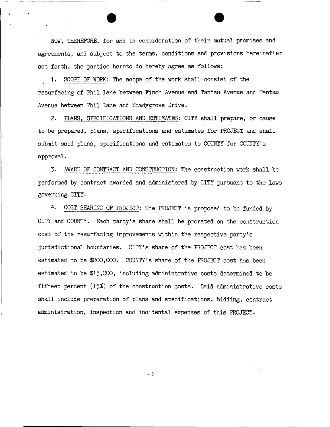NOW, THEREFORE, for and in consideration of their mutual promises and agreements, and subject to the terms, conditions and provisions hereinafter set forth, the parties hereto do hereby agree as follows:

, SCOPE OF WORK: The scope of the work shall consist of the resurfacing of Phil Lane between Finch Avenue and Tantau Avenue and Tantau Avenue between Phil Lane and Shady grove Drive.

2. PLANS, SPECIFICATIONS AND ESTIMATES: CITY shall prepare, or cause to be prepared, plans, specifications and estimates for PROJECT and shall submit said plans, specifications and estimates to COUNTY for COUNTY's approval.

3. AWARD OF CONTRACT AND CONSTRUCTION: The construction work shall be performed by contract awarded and administered by CITY pursuant to the laws governing CITY.

4. COST SHARING OF PROJECT: The PROJECT is proposed to be funded by CITY and COUNTY. Each party's share shall be prorated on the construction cost of the resurfacing improvements within the respective party's jurisdictional boundaries. CITY's share of the PROJECT cost has been estimated to be \$800,000. COUNTY'S share of the PROJECT cost has been estimated to be \$15,000, including administrative costs determined to be fifteen percent (15%) of the construction costs. Said administrative costs shall include preparation of plans and specifications, bidding, contract administration, inspection and incidental expenses of this PROJECT.

 $-2-$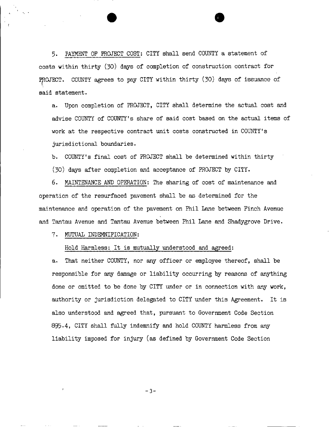5. PAYMENT OF PROJECT COST: CITY shall send COUNTY a statement of costs within thirty (30) days of completion of construction contract for PROJECT. COUNTY agrees to pay CITY within thirty (30) days of issuance of said statement.

a. Upon completion of PROJECT, CITY shall determine the actual cost and advise COUNTY of COUNTY's share of said cost based on the actual items of work at the respective contract unit costs constructed in COUNTY'S jurisdictional boundaries.

b. COUNTY'S final cost of PROJECT shall be determined within thirty (30) days after completion and acceptance of PROJECT by CITY.

6. MAINTENANCE AND OPERATION: The sharing of cost of maintenance and operation of the resurfaced pavement shall be as determined for the maintenance and operation of the pavement on Phil Lane between Finch Avenue and Tantau Avenue and Tantau Avenue between Phil Lane and Shadygrove Drive.

7. MUTUAL INDEMNIFICATION:

Hold Harmless: It is mutually understood and agreed:

a. That neither COUNTY, nor any officer or employee thereof, shall be responsible for any damage or liability occurring by reasons of anything done or omitted to be done by CITY under or in connection with any work, authority or jurisdiction delegated to CITY under this Agreement. It is also understood and agreed that, pursuant to Government Code Section 895-4, CITY shall fully indemnify and hold COUNTY harmless from any liability imposed for injury (as defined by Government Code Section

*)* - 3 -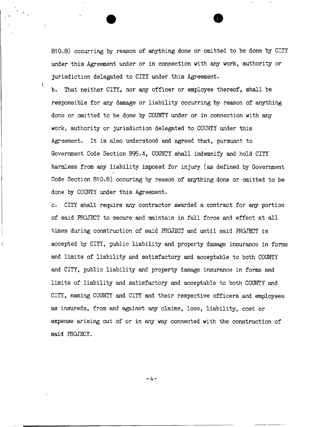810.8) occurring by reason of anything done or omitted to be done by CITY under this Agreement under or in connection with any work, authority or jurisdiction delegated to CITY under this Agreement.

ŧ

b. That neither CITY, nor any officer or employee thereof, shall be responsible for any damage or liability occurring by reason of anything done or omitted to be done by COUNTY under or in connection with any work, authority or jurisdiction delegated to COUNTY under this Agreement. It is also understood and agreed that, pursuant to Government Code Section 895-4, COUNTY shall indemnify and hold CITY harmless from any liability imposed for injury (as defined by Government » Code Section 810.8) occuring by reason of anything done or omitted to be done by COUNTY under this Agreement.

c. CITY shall require any contractor awarded a contract for any portion of said PROJECT to secure and maintain in full force and effect at all times during construction of said PROJECT and until said PROJECT is accepted by CITY, public liability and property damage insurance in forms and limits of liability and satisfactory and acceptable to both COUNTY and CITY, public liability and property damage insurance in forms and limits of liability and satisfactory and acceptable to both COUNTY and CITY, naming COUNTY and CITY and their respective officers and employees as insureds, from and against any claims, loss, liability, cost or expense arising out of or in any way connected with the construction of said PROJECT.

- 4 -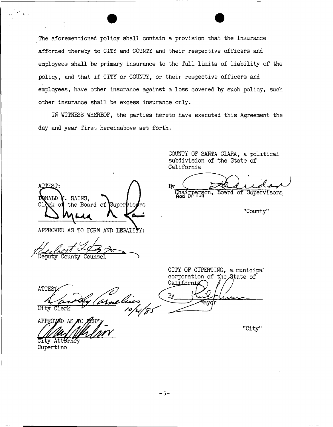The aforementioned policy shall contain a provision that the insurance afforded thereby to CITY and COUNTY and their respective officers and employees shall be primary insurance to the full limits of liability of the policy, and that if CITY or COUNTY, or their respective officers and employees, have other insurance against a loss covered by such policy, such employees, have other insurance against a loss covered by such policy, such

IN WITNESS WHEREOF, the parties hereto have executed this Agreement the

**ATTEST.** . RAINS, IALD the Board of Super *UJLA. K* 

other insurance shall be excess insurance only.

day and year first hereinabove set forth.

COUNTY OF SANTA CLARA, a political subdivision of the State of California

By Chairperson, Board of Supervisors

"County"

APPROVED AS TO FORM AND LEGALITY:

County Counsel

CITY OF CUPERTINO, a municipal corporation of the State of Californij **ATTEST**  $By$ City  $Clerk$ APPROVED AS

"City"

City Attorney Cupertino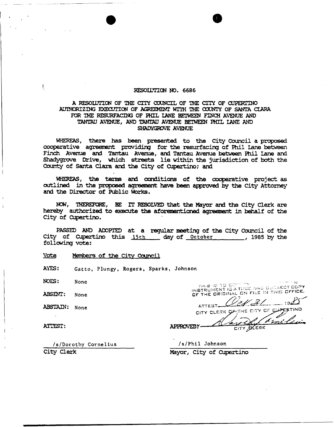## **EESOIOTICN NO, 6686**

# **A KESOmnON OF THE CITY OOUNCIL OF THE CITY OF CUPERTINO AUTHORIZING EXECUTION OF AGREEMENT WITH THE COUNTY OF SANTA CLARA**  *TOR* **THE RESURFACING OF MIL IANE BEIWEEN FINCH AVENUE AND TANIAU AVENUE, AND TANTAU AVENUE BEIWEEN fflTL IANE AND SHADYGROVE AVENUE**

**WHEREAS, there has been presented to the City Council a proposed cooperative agreement providing for the resurfacing of Riil Lane between Finch Avenue and Tarrtau Avenue, and Tantau Avenue between Hiil lane and Shadygrove Drive, which streets lie within the jurisdiction of both the County of Santa Clara and the City of Cupertino; and** 

**WHEREAS, the terms and conditions of the cooperative project as outlined in the proposed agreement have been approved by the City Attorney and the Director of Public Works.** 

**NCW, THEREFORE, BE IT RESOLVED that the Mayor and the City Clerk are hereby authorized to execute the aforementioned agreement in behalf of the City of Cupertino.** 

**PASSED AND ADOPTED at a regular meeting of the City Council of the**  City of Cupertino this <u>15th</u> day of <u>October</u> , 1985 by the following vote: **following vote:** 

**Vote** Members of the City Council **Vote Members of the City Council** 

AYES: Gatto, Plungy, Rogers, Sparks, Johnson

NOES: None

ABSENT: None

ABSTAIN: None

**ATTEST:** 

Ţ,

THIS IS 39 COMPANY<br>INSTRUMEN<u>T IS A TIME AND DUCKEDT OFFIDE.</u> OF THE ORIGINAL CN FILE IN Tnlfj CFFICE. <u>Clest 31</u> 385

ATTEST<sub>-</sub> CITY CLERK <u>Sameli</u> **APPROVED\* DITY ALERK** 

/s/Phil Johnson

/s/Dorothy Cornelius **City Clerk** 

**Mayor, City of Cupertino**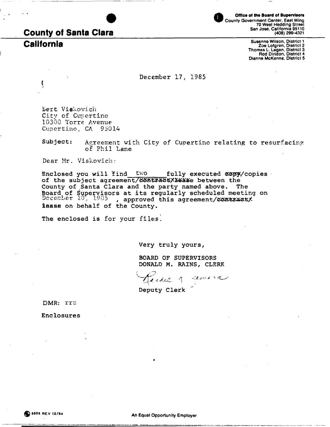# County of Santa Clara

County Government Center, East Wing 70 West Hedding Street San Jose, California 95110 (406) 299-4321 Office of the Board of Supervisors

California and Susanne Wilson, District 1 and Susanne Wilson, District 1 and Susanne Wilson, District 1 and  $\frac{1}{2}$ Thomas L. Legan, District 3<br>Pod Diridon, District 4 Dianne McKenna, District 5

December 17, 1985

Bert Viekovich Citv of Cupertino 10300 Torre Avenue Cupertino, CA 95014

**Subject:** Agreement with City of Cupertino relating to resurfacing of Phil Lane

Dear Mr. Viskovich:

Enclosed you will find two fully executed **copy/copies** of the subject agreement/*CORERACEXIGAB* between the<br>County of Santa Clara and the party named above. The County of Santa Clara and the party named above. **Board of Supervisors at its regularly scheduled meeting on**  December 10, 1905 , approved this agreement/**contract/ tease on behalf of the County.** 

**The enclosed is** for your files.

**Very truly yours** 

**BOARD OF SUPERVISORS DONALD M. RAINS, CLERK** 

 $40.00550$  $d$  ed.c.c.  $\uparrow$ 

**Deputy Clerk** 

DMR: rrz

**Enclosures**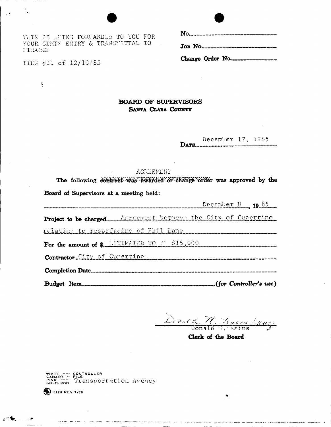TLIS IS LEING FORUARDLE TO YOU FOR YOUR CEMIS ENTRY & TRANSFITTAL TO TIMMOL

ITEM #11 of 12/10/85

 $\mathbf{r}$ 

# **BOARD OF SUPERVISORS SANTA CLARA COUNTY**

December 17, 1985 DATE

## **AGREEMENT**

The following contract was awarded or change order was approved by the Board of Supervisors at a meeting held:

|                                                                          | <b>Example 19.85</b> December D <sub>., 19.85</sub> |  |  |  |
|--------------------------------------------------------------------------|-----------------------------------------------------|--|--|--|
| Project to be charged Africanent batween the City of Cunertino           |                                                     |  |  |  |
| relating to resurfacing of Phil Lane                                     |                                                     |  |  |  |
| For the amount of $\frac{2.2711444720}{2000}$ 10 $\frac{1.515}{200}$ 000 |                                                     |  |  |  |
| Contractor City of Curertino                                             |                                                     |  |  |  |
|                                                                          |                                                     |  |  |  |
|                                                                          |                                                     |  |  |  |

Denaco N. Ann Lung

Clerk of the Board

WHITE ---- CONTROLLER<br>FANARY -- FILE<br>GOLD.ROD Transportation Agency

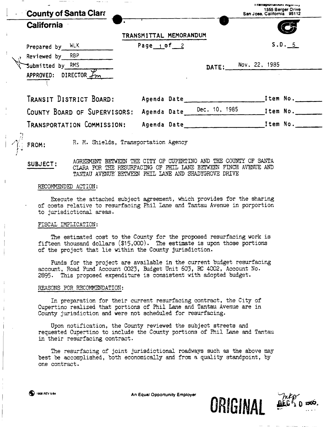|  | <b>County of Santa Clara</b>                   |                        |                              | I ransportation agency<br>1555 Berger Drive<br>San Jose, California 95112 |
|--|------------------------------------------------|------------------------|------------------------------|---------------------------------------------------------------------------|
|  | <b>California</b>                              |                        |                              |                                                                           |
|  |                                                | TRANSMITTAL MEMORANDUM |                              |                                                                           |
|  | Prepared by WLK                                | Page $1$ of $2$        |                              | S.D. 5                                                                    |
|  | Reviewed by RBP                                |                        |                              |                                                                           |
|  | Submitted by RMS                               |                        |                              | DATE: Nov. 22, 1985                                                       |
|  | APPROVED: DIRECTOR $\mathcal{F}_{\mathcal{P}}$ |                        |                              |                                                                           |
|  | TRANSIT DISTRICT BOARD:                        |                        | Agenda Date ________________ | Item No.                                                                  |
|  | COUNTY BOARD OF SUPERVISORS:                   |                        | Agenda Date Dec. 10, 1985    | Item No.                                                                  |
|  | TRANSPORTATION COMMISSION:                     |                        | Agenda Date                  | Item No.                                                                  |

R. M. Shields, Transportation Agency FROM:

AGREEMENT BETWEEN THE CITY OF CUPERTINO AND THE COUNTY OF SANTA SUBJECT: CLARA FOR THE RESURFACING OF PHIL LANE BETWEEN FINCH AVENUE AND TANTAU AVENUE BETWEEN PHIL LANE AND SHADYGROVE DRIVE

## RECOMMENDED ACTION:

Execute the attached subject agreement, which provides for the sharing of costs relative to resurfacing Phil Lane and Tantau Avenue in porportion to jurisdictional areas.

# FISCAL IMPLICATION:

The estimated cost to the County for the proposed resurfacing work is fifteen thousand dollars  $(\text{$}15,000)$ . The estimate is upon those portions of the project that lie within the County jurisdiction.

Funds for the project are available in the current budget resurfacing account, Road Fund Account 0023, Budget Unit 603, RC 4002, Account No. 2895. This proposed expenditure is consistent with adopted budget.

#### REASONS FOR RECOMMENDATION:

In preparation for their current resurfacing contract, the City of Cupertino realized that portions of Phil Lane and Tantau Avenue are in County jurisdiction and were not scheduled for resurfacing.

Upon notification, the County reviewed the subject streets and requested Cupertino to include the County portions of Phil Lane and Tantau in their resurfacing contract.

The resurfacing of joint jurisdictional roadways such as the above may best be accomplished, both economically and from a quality standpoint, by one contract.



An Equal Opportunity Employer